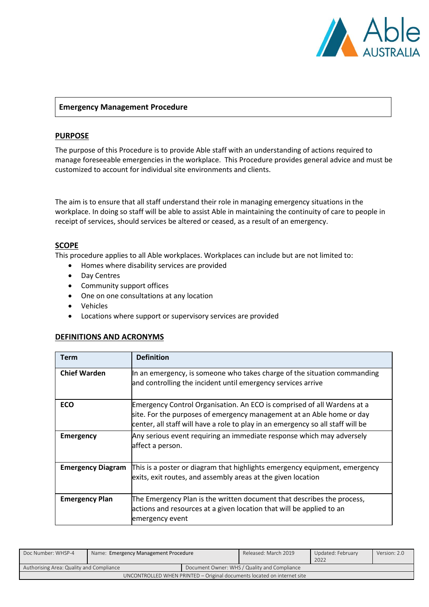

## **Emergency Management Procedure**

## **PURPOSE**

The purpose of this Procedure is to provide Able staff with an understanding of actions required to manage foreseeable emergencies in the workplace. This Procedure provides general advice and must be customized to account for individual site environments and clients.

The aim is to ensure that all staff understand their role in managing emergency situations in the workplace. In doing so staff will be able to assist Able in maintaining the continuity of care to people in receipt of services, should services be altered or ceased, as a result of an emergency.

## **SCOPE**

This procedure applies to all Able workplaces. Workplaces can include but are not limited to:

- Homes where disability services are provided
- Day Centres
- Community support offices
- One on one consultations at any location
- Vehicles
- Locations where support or supervisory services are provided

#### **DEFINITIONS AND ACRONYMS**

| Term                     | <b>Definition</b>                                                                                                                                                                                                                   |
|--------------------------|-------------------------------------------------------------------------------------------------------------------------------------------------------------------------------------------------------------------------------------|
| <b>Chief Warden</b>      | In an emergency, is someone who takes charge of the situation commanding<br>and controlling the incident until emergency services arrive                                                                                            |
| <b>ECO</b>               | Emergency Control Organisation. An ECO is comprised of all Wardens at a<br>site. For the purposes of emergency management at an Able home or day<br>center, all staff will have a role to play in an emergency so all staff will be |
| <b>Emergency</b>         | Any serious event requiring an immediate response which may adversely<br>affect a person.                                                                                                                                           |
| <b>Emergency Diagram</b> | This is a poster or diagram that highlights emergency equipment, emergency<br>exits, exit routes, and assembly areas at the given location                                                                                          |
| <b>Emergency Plan</b>    | The Emergency Plan is the written document that describes the process,<br>actions and resources at a given location that will be applied to an<br>emergency event                                                                   |

| Doc Number: WHSP-4                                                      | Name: Emergency Management Procedure |                                              | Released: March 2019 | Updated: February<br>2022 | Version: 2.0 |
|-------------------------------------------------------------------------|--------------------------------------|----------------------------------------------|----------------------|---------------------------|--------------|
| Authorising Area: Quality and Compliance                                |                                      | Document Owner: WHS / Quality and Compliance |                      |                           |              |
| UNCONTROLLED WHEN PRINTED – Original documents located on internet site |                                      |                                              |                      |                           |              |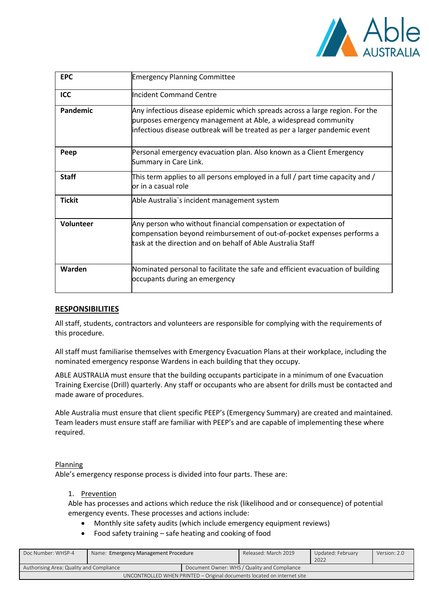

| <b>EPC</b>    | <b>Emergency Planning Committee</b>                                                                                                                                                                                         |
|---------------|-----------------------------------------------------------------------------------------------------------------------------------------------------------------------------------------------------------------------------|
| <b>ICC</b>    | Incident Command Centre                                                                                                                                                                                                     |
| Pandemic      | Any infectious disease epidemic which spreads across a large region. For the<br>purposes emergency management at Able, a widespread community<br>infectious disease outbreak will be treated as per a larger pandemic event |
| Peep          | Personal emergency evacuation plan. Also known as a Client Emergency<br>Summary in Care Link.                                                                                                                               |
| <b>Staff</b>  | This term applies to all persons employed in a full / part time capacity and /<br>lor in a casual role                                                                                                                      |
| <b>Tickit</b> | Able Australia's incident management system                                                                                                                                                                                 |
| Volunteer     | Any person who without financial compensation or expectation of<br>compensation beyond reimbursement of out-of-pocket expenses performs a<br>task at the direction and on behalf of Able Australia Staff                    |
| Warden        | Nominated personal to facilitate the safe and efficient evacuation of building<br>occupants during an emergency                                                                                                             |

# **RESPONSIBILITIES**

All staff, students, contractors and volunteers are responsible for complying with the requirements of this procedure.

All staff must familiarise themselves with Emergency Evacuation Plans at their workplace, including the nominated emergency response Wardens in each building that they occupy.

ABLE AUSTRALIA must ensure that the building occupants participate in a minimum of one Evacuation Training Exercise (Drill) quarterly. Any staff or occupants who are absent for drills must be contacted and made aware of procedures.

Able Australia must ensure that client specific PEEP's (Emergency Summary) are created and maintained. Team leaders must ensure staff are familiar with PEEP's and are capable of implementing these where required.

## Planning

Able's emergency response process is divided into four parts. These are:

# 1. Prevention

Able has processes and actions which reduce the risk (likelihood and or consequence) of potential emergency events. These processes and actions include:

- Monthly site safety audits (which include emergency equipment reviews)
- Food safety training safe heating and cooking of food

| Doc Number: WHSP-4                                                      | Name: Emergency Management Procedure |                                              | Released: March 2019 | Updated: February<br>2022 | Version: 2.0 |
|-------------------------------------------------------------------------|--------------------------------------|----------------------------------------------|----------------------|---------------------------|--------------|
| Authorising Area: Quality and Compliance                                |                                      | Document Owner: WHS / Quality and Compliance |                      |                           |              |
| UNCONTROLLED WHEN PRINTED – Original documents located on internet site |                                      |                                              |                      |                           |              |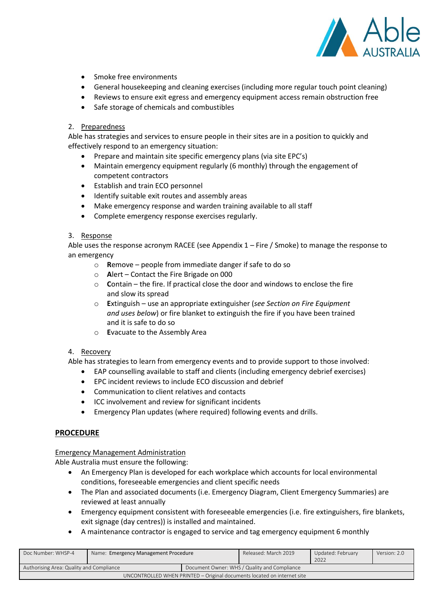

- Smoke free environments
- General housekeeping and cleaning exercises (including more regular touch point cleaning)
- Reviews to ensure exit egress and emergency equipment access remain obstruction free
- Safe storage of chemicals and combustibles

## 2. Preparedness

Able has strategies and services to ensure people in their sites are in a position to quickly and effectively respond to an emergency situation:

- Prepare and maintain site specific emergency plans (via site EPC's)
- Maintain emergency equipment regularly (6 monthly) through the engagement of competent contractors
- Establish and train ECO personnel
- Identify suitable exit routes and assembly areas
- Make emergency response and warden training available to all staff
- Complete emergency response exercises regularly.

## 3. Response

Able uses the response acronym RACEE (see Appendix 1 – Fire / Smoke) to manage the response to an emergency

- o **R**emove people from immediate danger if safe to do so
- o **A**lert Contact the Fire Brigade on 000
- o **C**ontain the fire. If practical close the door and windows to enclose the fire and slow its spread
- o **E**xtinguish use an appropriate extinguisher (*see Section on Fire Equipment and uses below*) or fire blanket to extinguish the fire if you have been trained and it is safe to do so
- o **E**vacuate to the Assembly Area

## 4. Recovery

Able has strategies to learn from emergency events and to provide support to those involved:

- EAP counselling available to staff and clients (including emergency debrief exercises)
- EPC incident reviews to include ECO discussion and debrief
- Communication to client relatives and contacts
- ICC involvement and review for significant incidents
- Emergency Plan updates (where required) following events and drills.

## **PROCEDURE**

## Emergency Management Administration

Able Australia must ensure the following:

- An Emergency Plan is developed for each workplace which accounts for local environmental conditions, foreseeable emergencies and client specific needs
- The Plan and associated documents (i.e. Emergency Diagram, Client Emergency Summaries) are reviewed at least annually
- Emergency equipment consistent with foreseeable emergencies (i.e. fire extinguishers, fire blankets, exit signage (day centres)) is installed and maintained.
- A maintenance contractor is engaged to service and tag emergency equipment 6 monthly

| Doc Number: WHSP-4                                                      | Name: Emergency Management Procedure |  | Released: March 2019                         | Updated: February<br>2022 | Version: 2.0 |
|-------------------------------------------------------------------------|--------------------------------------|--|----------------------------------------------|---------------------------|--------------|
| Authorising Area: Quality and Compliance                                |                                      |  | Document Owner: WHS / Quality and Compliance |                           |              |
| UNCONTROLLED WHEN PRINTED – Original documents located on internet site |                                      |  |                                              |                           |              |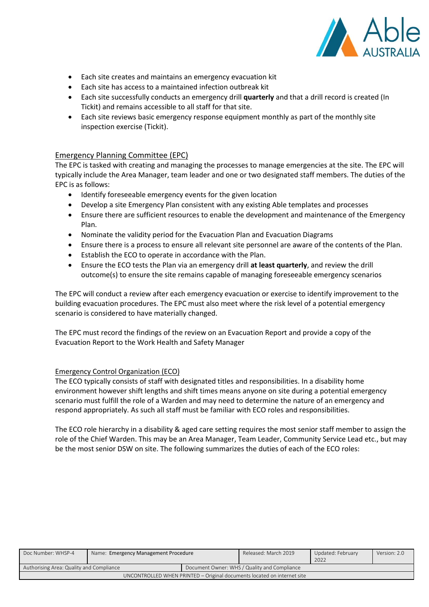

- Each site creates and maintains an emergency evacuation kit
- Each site has access to a maintained infection outbreak kit
- Each site successfully conducts an emergency drill **quarterly** and that a drill record is created (In Tickit) and remains accessible to all staff for that site.
- Each site reviews basic emergency response equipment monthly as part of the monthly site inspection exercise (Tickit).

## Emergency Planning Committee (EPC)

The EPC is tasked with creating and managing the processes to manage emergencies at the site. The EPC will typically include the Area Manager, team leader and one or two designated staff members. The duties of the EPC is as follows:

- Identify foreseeable emergency events for the given location
- Develop a site Emergency Plan consistent with any existing Able templates and processes
- Ensure there are sufficient resources to enable the development and maintenance of the Emergency Plan.
- Nominate the validity period for the Evacuation Plan and Evacuation Diagrams
- Ensure there is a process to ensure all relevant site personnel are aware of the contents of the Plan.
- Establish the ECO to operate in accordance with the Plan.
- Ensure the ECO tests the Plan via an emergency drill **at least quarterly**, and review the drill outcome(s) to ensure the site remains capable of managing foreseeable emergency scenarios

The EPC will conduct a review after each emergency evacuation or exercise to identify improvement to the building evacuation procedures. The EPC must also meet where the risk level of a potential emergency scenario is considered to have materially changed.

The EPC must record the findings of the review on an Evacuation Report and provide a copy of the Evacuation Report to the Work Health and Safety Manager

## Emergency Control Organization (ECO)

The ECO typically consists of staff with designated titles and responsibilities. In a disability home environment however shift lengths and shift times means anyone on site during a potential emergency scenario must fulfill the role of a Warden and may need to determine the nature of an emergency and respond appropriately. As such all staff must be familiar with ECO roles and responsibilities.

The ECO role hierarchy in a disability & aged care setting requires the most senior staff member to assign the role of the Chief Warden. This may be an Area Manager, Team Leader, Community Service Lead etc., but may be the most senior DSW on site. The following summarizes the duties of each of the ECO roles:

| Doc Number: WHSP-4                                                      | Name: Emergency Management Procedure |                                              | Released: March 2019 | Updated: February<br>2022 | Version: 2.0 |
|-------------------------------------------------------------------------|--------------------------------------|----------------------------------------------|----------------------|---------------------------|--------------|
| Authorising Area: Quality and Compliance                                |                                      | Document Owner: WHS / Quality and Compliance |                      |                           |              |
| UNCONTROLLED WHEN PRINTED - Original documents located on internet site |                                      |                                              |                      |                           |              |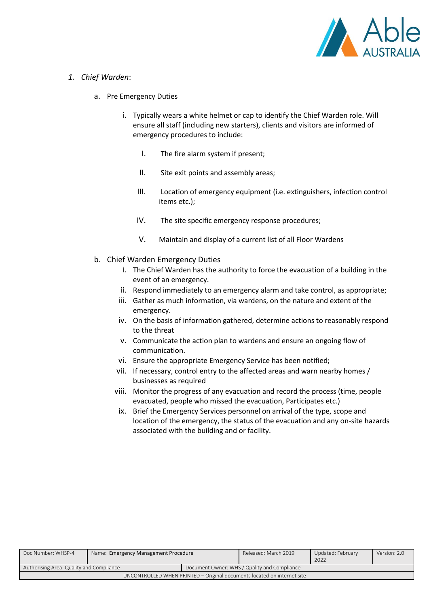

- *1. Chief Warden*:
	- a. Pre Emergency Duties
		- i. Typically wears a white helmet or cap to identify the Chief Warden role. Will ensure all staff (including new starters), clients and visitors are informed of emergency procedures to include:
			- I. The fire alarm system if present;
			- II. Site exit points and assembly areas;
			- III. Location of emergency equipment (i.e. extinguishers, infection control items etc.);
			- IV. The site specific emergency response procedures;
			- V. Maintain and display of a current list of all Floor Wardens
	- b. Chief Warden Emergency Duties
		- i. The Chief Warden has the authority to force the evacuation of a building in the event of an emergency.
		- ii. Respond immediately to an emergency alarm and take control, as appropriate;
		- iii. Gather as much information, via wardens, on the nature and extent of the emergency.
		- iv. On the basis of information gathered, determine actions to reasonably respond to the threat
		- v. Communicate the action plan to wardens and ensure an ongoing flow of communication.
		- vi. Ensure the appropriate Emergency Service has been notified;
		- vii. If necessary, control entry to the affected areas and warn nearby homes / businesses as required
		- viii. Monitor the progress of any evacuation and record the process (time, people evacuated, people who missed the evacuation, Participates etc.)
		- ix. Brief the Emergency Services personnel on arrival of the type, scope and location of the emergency, the status of the evacuation and any on-site hazards associated with the building and or facility.

| Doc Number: WHSP-4                                                      | Name: Emergency Management Procedure |                                              | Released: March 2019 | Updated: February<br>2022 | Version: 2.0 |
|-------------------------------------------------------------------------|--------------------------------------|----------------------------------------------|----------------------|---------------------------|--------------|
| Authorising Area: Quality and Compliance                                |                                      | Document Owner: WHS / Quality and Compliance |                      |                           |              |
| UNCONTROLLED WHEN PRINTED - Original documents located on internet site |                                      |                                              |                      |                           |              |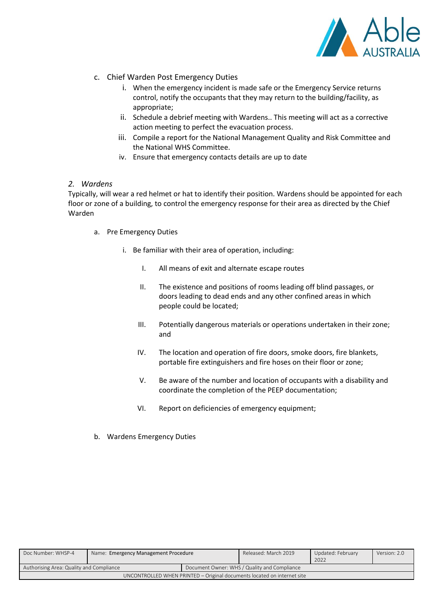

- c. Chief Warden Post Emergency Duties
	- i. When the emergency incident is made safe or the Emergency Service returns control, notify the occupants that they may return to the building/facility, as appropriate;
	- ii. Schedule a debrief meeting with Wardens.. This meeting will act as a corrective action meeting to perfect the evacuation process.
	- iii. Compile a report for the National Management Quality and Risk Committee and the National WHS Committee.
	- iv. Ensure that emergency contacts details are up to date

## *2. Wardens*

Typically, will wear a red helmet or hat to identify their position. Wardens should be appointed for each floor or zone of a building, to control the emergency response for their area as directed by the Chief Warden

- a. Pre Emergency Duties
	- i. Be familiar with their area of operation, including:
		- I. All means of exit and alternate escape routes
		- II. The existence and positions of rooms leading off blind passages, or doors leading to dead ends and any other confined areas in which people could be located;
		- III. Potentially dangerous materials or operations undertaken in their zone; and
		- IV. The location and operation of fire doors, smoke doors, fire blankets, portable fire extinguishers and fire hoses on their floor or zone;
		- V. Be aware of the number and location of occupants with a disability and coordinate the completion of the PEEP documentation;
		- VI. Report on deficiencies of emergency equipment;
- b. Wardens Emergency Duties

| Doc Number: WHSP-4                                                      | Name: Emergency Management Procedure |                                              | Released: March 2019 | Updated: February | Version: 2.0 |
|-------------------------------------------------------------------------|--------------------------------------|----------------------------------------------|----------------------|-------------------|--------------|
|                                                                         |                                      |                                              |                      | 2022              |              |
| Authorising Area: Quality and Compliance                                |                                      | Document Owner: WHS / Quality and Compliance |                      |                   |              |
| UNCONTROLLED WHEN PRINTED - Original documents located on internet site |                                      |                                              |                      |                   |              |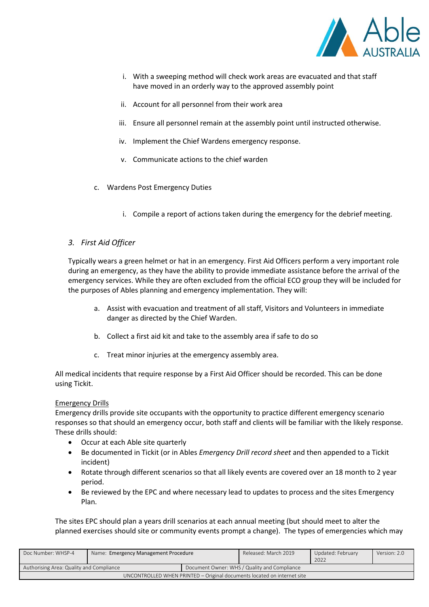

- i. With a sweeping method will check work areas are evacuated and that staff have moved in an orderly way to the approved assembly point
- ii. Account for all personnel from their work area
- iii. Ensure all personnel remain at the assembly point until instructed otherwise.
- iv. Implement the Chief Wardens emergency response.
- v. Communicate actions to the chief warden
- c. Wardens Post Emergency Duties
	- i. Compile a report of actions taken during the emergency for the debrief meeting.

## *3. First Aid Officer*

Typically wears a green helmet or hat in an emergency. First Aid Officers perform a very important role during an emergency, as they have the ability to provide immediate assistance before the arrival of the emergency services. While they are often excluded from the official ECO group they will be included for the purposes of Ables planning and emergency implementation. They will:

- a. Assist with evacuation and treatment of all staff, Visitors and Volunteers in immediate danger as directed by the Chief Warden.
- b. Collect a first aid kit and take to the assembly area if safe to do so
- c. Treat minor injuries at the emergency assembly area.

All medical incidents that require response by a First Aid Officer should be recorded. This can be done using Tickit.

## Emergency Drills

Emergency drills provide site occupants with the opportunity to practice different emergency scenario responses so that should an emergency occur, both staff and clients will be familiar with the likely response. These drills should:

- Occur at each Able site quarterly
- Be documented in Tickit (or in Ables *Emergency Drill record sheet* and then appended to a Tickit incident)
- Rotate through different scenarios so that all likely events are covered over an 18 month to 2 year period.
- Be reviewed by the EPC and where necessary lead to updates to process and the sites Emergency Plan.

The sites EPC should plan a years drill scenarios at each annual meeting (but should meet to alter the planned exercises should site or community events prompt a change). The types of emergencies which may

| Doc Number: WHSP-4                                                      | Name: Emergency Management Procedure |                                              | Released: March 2019 | Updated: February<br>2022 | Version: 2.0 |
|-------------------------------------------------------------------------|--------------------------------------|----------------------------------------------|----------------------|---------------------------|--------------|
| Authorising Area: Quality and Compliance                                |                                      | Document Owner: WHS / Quality and Compliance |                      |                           |              |
| UNCONTROLLED WHEN PRINTED – Original documents located on internet site |                                      |                                              |                      |                           |              |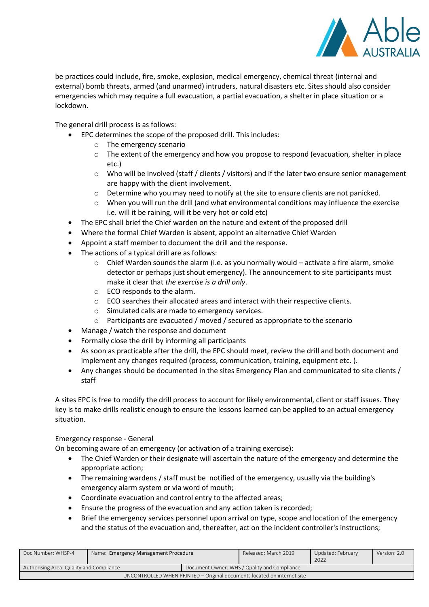

be practices could include, fire, smoke, explosion, medical emergency, chemical threat (internal and external) bomb threats, armed (and unarmed) intruders, natural disasters etc. Sites should also consider emergencies which may require a full evacuation, a partial evacuation, a shelter in place situation or a lockdown.

The general drill process is as follows:

- EPC determines the scope of the proposed drill. This includes:
	- o The emergency scenario
	- $\circ$  The extent of the emergency and how you propose to respond (evacuation, shelter in place etc.)
	- o Who will be involved (staff / clients / visitors) and if the later two ensure senior management are happy with the client involvement.
	- $\circ$  Determine who you may need to notify at the site to ensure clients are not panicked.
	- $\circ$  When you will run the drill (and what environmental conditions may influence the exercise i.e. will it be raining, will it be very hot or cold etc)
- The EPC shall brief the Chief warden on the nature and extent of the proposed drill
- Where the formal Chief Warden is absent, appoint an alternative Chief Warden
- Appoint a staff member to document the drill and the response.
- The actions of a typical drill are as follows:
	- $\circ$  Chief Warden sounds the alarm (i.e. as you normally would activate a fire alarm, smoke detector or perhaps just shout emergency). The announcement to site participants must make it clear that *the exercise is a drill only*.
	- o ECO responds to the alarm.
	- $\circ$  ECO searches their allocated areas and interact with their respective clients.
	- o Simulated calls are made to emergency services.
	- $\circ$  Participants are evacuated / moved / secured as appropriate to the scenario
- Manage / watch the response and document
- Formally close the drill by informing all participants
- As soon as practicable after the drill, the EPC should meet, review the drill and both document and implement any changes required (process, communication, training, equipment etc. ).
- Any changes should be documented in the sites Emergency Plan and communicated to site clients / staff

A sites EPC is free to modify the drill process to account for likely environmental, client or staff issues. They key is to make drills realistic enough to ensure the lessons learned can be applied to an actual emergency situation.

# Emergency response - General

On becoming aware of an emergency (or activation of a training exercise):

- The Chief Warden or their designate will ascertain the nature of the emergency and determine the appropriate action;
- The remaining wardens / staff must be notified of the emergency, usually via the building's emergency alarm system or via word of mouth;
- Coordinate evacuation and control entry to the affected areas;
- Ensure the progress of the evacuation and any action taken is recorded;
- Brief the emergency services personnel upon arrival on type, scope and location of the emergency and the status of the evacuation and, thereafter, act on the incident controller's instructions;

| Doc Number: WHSP-4                                                      | Name: Emergency Management Procedure |                                              | Released: March 2019 | Updated: February<br>2022 | Version: 2.0 |
|-------------------------------------------------------------------------|--------------------------------------|----------------------------------------------|----------------------|---------------------------|--------------|
| Authorising Area: Quality and Compliance                                |                                      | Document Owner: WHS / Quality and Compliance |                      |                           |              |
| UNCONTROLLED WHEN PRINTED – Original documents located on internet site |                                      |                                              |                      |                           |              |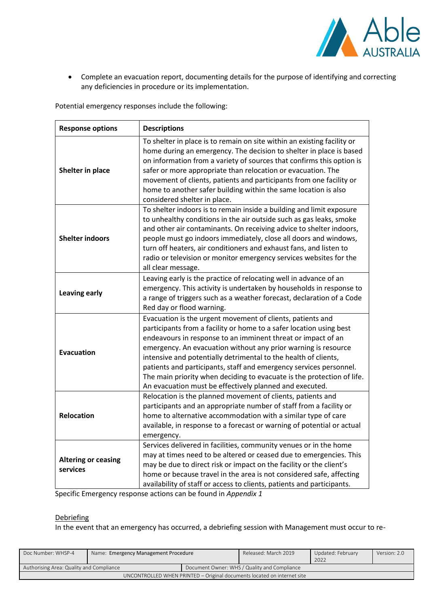

• Complete an evacuation report, documenting details for the purpose of identifying and correcting any deficiencies in procedure or its implementation.

Potential emergency responses include the following:

| <b>Response options</b>                | <b>Descriptions</b>                                                                                                                                                                                                                                                                                                                                                                                                                                                                                                                               |
|----------------------------------------|---------------------------------------------------------------------------------------------------------------------------------------------------------------------------------------------------------------------------------------------------------------------------------------------------------------------------------------------------------------------------------------------------------------------------------------------------------------------------------------------------------------------------------------------------|
| Shelter in place                       | To shelter in place is to remain on site within an existing facility or<br>home during an emergency. The decision to shelter in place is based<br>on information from a variety of sources that confirms this option is<br>safer or more appropriate than relocation or evacuation. The<br>movement of clients, patients and participants from one facility or<br>home to another safer building within the same location is also<br>considered shelter in place.                                                                                 |
| <b>Shelter indoors</b>                 | To shelter indoors is to remain inside a building and limit exposure<br>to unhealthy conditions in the air outside such as gas leaks, smoke<br>and other air contaminants. On receiving advice to shelter indoors,<br>people must go indoors immediately, close all doors and windows,<br>turn off heaters, air conditioners and exhaust fans, and listen to<br>radio or television or monitor emergency services websites for the<br>all clear message.                                                                                          |
| <b>Leaving early</b>                   | Leaving early is the practice of relocating well in advance of an<br>emergency. This activity is undertaken by households in response to<br>a range of triggers such as a weather forecast, declaration of a Code<br>Red day or flood warning.                                                                                                                                                                                                                                                                                                    |
| <b>Evacuation</b>                      | Evacuation is the urgent movement of clients, patients and<br>participants from a facility or home to a safer location using best<br>endeavours in response to an imminent threat or impact of an<br>emergency. An evacuation without any prior warning is resource<br>intensive and potentially detrimental to the health of clients,<br>patients and participants, staff and emergency services personnel.<br>The main priority when deciding to evacuate is the protection of life.<br>An evacuation must be effectively planned and executed. |
| <b>Relocation</b>                      | Relocation is the planned movement of clients, patients and<br>participants and an appropriate number of staff from a facility or<br>home to alternative accommodation with a similar type of care<br>available, in response to a forecast or warning of potential or actual<br>emergency.                                                                                                                                                                                                                                                        |
| <b>Altering or ceasing</b><br>services | Services delivered in facilities, community venues or in the home<br>may at times need to be altered or ceased due to emergencies. This<br>may be due to direct risk or impact on the facility or the client's<br>home or because travel in the area is not considered safe, affecting<br>availability of staff or access to clients, patients and participants.                                                                                                                                                                                  |

Specific Emergency response actions can be found in *Appendix 1*

# Debriefing

In the event that an emergency has occurred, a debriefing session with Management must occur to re-

| Doc Number: WHSP-4                                                      | Name: Emergency Management Procedure |                                              | Released: March 2019 | Updated: February<br>2022 | Version: 2.0 |
|-------------------------------------------------------------------------|--------------------------------------|----------------------------------------------|----------------------|---------------------------|--------------|
| Authorising Area: Quality and Compliance                                |                                      | Document Owner: WHS / Quality and Compliance |                      |                           |              |
| UNCONTROLLED WHEN PRINTED - Original documents located on internet site |                                      |                                              |                      |                           |              |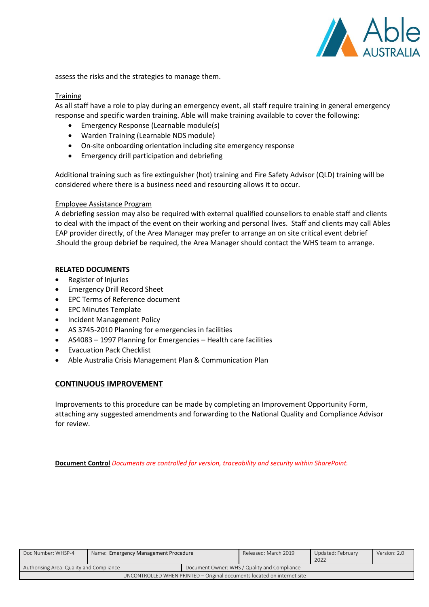

assess the risks and the strategies to manage them.

## **Training**

As all staff have a role to play during an emergency event, all staff require training in general emergency response and specific warden training. Able will make training available to cover the following:

- Emergency Response (Learnable module(s)
- Warden Training (Learnable NDS module)
- On-site onboarding orientation including site emergency response
- Emergency drill participation and debriefing

Additional training such as fire extinguisher (hot) training and Fire Safety Advisor (QLD) training will be considered where there is a business need and resourcing allows it to occur.

## Employee Assistance Program

A debriefing session may also be required with external qualified counsellors to enable staff and clients to deal with the impact of the event on their working and personal lives. Staff and clients may call Ables EAP provider directly, of the Area Manager may prefer to arrange an on site critical event debrief .Should the group debrief be required, the Area Manager should contact the WHS team to arrange.

## **RELATED DOCUMENTS**

- Register of Injuries
- Emergency Drill Record Sheet
- EPC Terms of Reference document
- EPC Minutes Template
- Incident Management Policy
- AS 3745-2010 Planning for emergencies in facilities
- AS4083 1997 Planning for Emergencies Health care facilities
- Evacuation Pack Checklist
- Able Australia Crisis Management Plan & Communication Plan

## **CONTINUOUS IMPROVEMENT**

Improvements to this procedure can be made by completing an Improvement Opportunity Form, attaching any suggested amendments and forwarding to the National Quality and Compliance Advisor for review.

**Document Control** *Documents are controlled for version, traceability and security within SharePoint.*

| Doc Number: WHSP-4                                                      | Name: Emergency Management Procedure |  | Released: March 2019                         | Updated: February<br>2022 | Version: 2.0 |
|-------------------------------------------------------------------------|--------------------------------------|--|----------------------------------------------|---------------------------|--------------|
| Authorising Area: Quality and Compliance                                |                                      |  | Document Owner: WHS / Quality and Compliance |                           |              |
| UNCONTROLLED WHEN PRINTED – Original documents located on internet site |                                      |  |                                              |                           |              |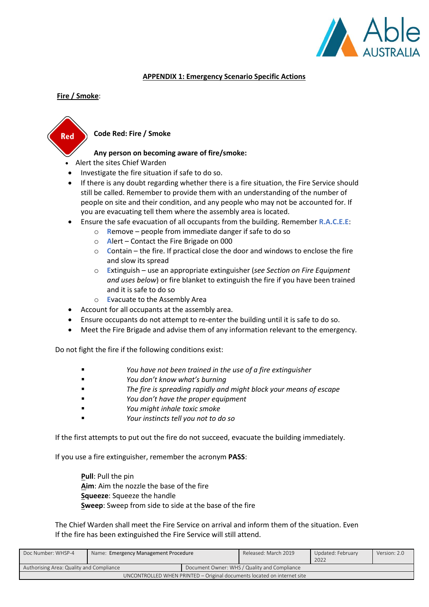

## **APPENDIX 1: Emergency Scenario Specific Actions**

## **Fire / Smoke**:



## **Code Red: Fire / Smoke**

## **Any person on becoming aware of fire/smoke:**

- Alert the sites Chief Warden
- Investigate the fire situation if safe to do so.
- If there is any doubt regarding whether there is a fire situation, the Fire Service should still be called. Remember to provide them with an understanding of the number of people on site and their condition, and any people who may not be accounted for. If you are evacuating tell them where the assembly area is located.
- Ensure the safe evacuation of all occupants from the building. Remember **R.A.C.E.E**:
	- o **R**emove people from immediate danger if safe to do so
	- o **A**lert Contact the Fire Brigade on 000
	- o **C**ontain the fire. If practical close the door and windows to enclose the fire and slow its spread
	- o **E**xtinguish use an appropriate extinguisher (*see Section on Fire Equipment and uses below*) or fire blanket to extinguish the fire if you have been trained and it is safe to do so
	- o **E**vacuate to the Assembly Area
- Account for all occupants at the assembly area.
- Ensure occupants do not attempt to re-enter the building until it is safe to do so.
- Meet the Fire Brigade and advise them of any information relevant to the emergency.

Do not fight the fire if the following conditions exist:

- You have not been trained in the use of a fire extinguisher
- *You don't know what's burning*
- The fire is spreading rapidly and might block your means of escape
- *You don't have the proper equipment*
- *You might inhale toxic smoke*
- *Your instincts tell you not to do so*

If the first attempts to put out the fire do not succeed, evacuate the building immediately.

If you use a fire extinguisher, remember the acronym **PASS**:

**Pull**: Pull the pin **Aim**: Aim the nozzle the base of the fire **Squeeze**: Squeeze the handle **Sweep**: Sweep from side to side at the base of the fire

The Chief Warden shall meet the Fire Service on arrival and inform them of the situation. Even If the fire has been extinguished the Fire Service will still attend.

| Doc Number: WHSP-4                                                      | Name: Emergency Management Procedure |  | Released: March 2019                         | Updated: February<br>2022 | Version: 2.0 |
|-------------------------------------------------------------------------|--------------------------------------|--|----------------------------------------------|---------------------------|--------------|
| Authorising Area: Quality and Compliance                                |                                      |  | Document Owner: WHS / Quality and Compliance |                           |              |
| UNCONTROLLED WHEN PRINTED – Original documents located on internet site |                                      |  |                                              |                           |              |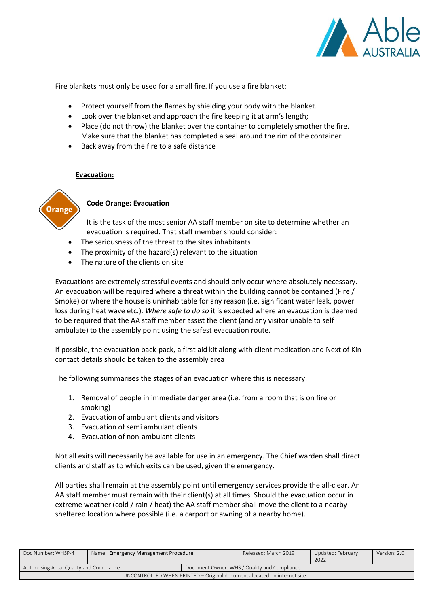

Fire blankets must only be used for a small fire. If you use a fire blanket:

- Protect yourself from the flames by shielding your body with the blanket.
- Look over the blanket and approach the fire keeping it at arm's length;
- Place (do not throw) the blanket over the container to completely smother the fire. Make sure that the blanket has completed a seal around the rim of the container
- Back away from the fire to a safe distance

## **Evacuation:**



# **Code Orange: Evacuation**

It is the task of the most senior AA staff member on site to determine whether an evacuation is required. That staff member should consider:

- The seriousness of the threat to the sites inhabitants
- The proximity of the hazard(s) relevant to the situation
- The nature of the clients on site

Evacuations are extremely stressful events and should only occur where absolutely necessary. An evacuation will be required where a threat within the building cannot be contained (Fire / Smoke) or where the house is uninhabitable for any reason (i.e. significant water leak, power loss during heat wave etc.). *Where safe to do so* it is expected where an evacuation is deemed to be required that the AA staff member assist the client (and any visitor unable to self ambulate) to the assembly point using the safest evacuation route.

If possible, the evacuation back-pack, a first aid kit along with client medication and Next of Kin contact details should be taken to the assembly area

The following summarises the stages of an evacuation where this is necessary:

- 1. Removal of people in immediate danger area (i.e. from a room that is on fire or smoking)
- 2. Evacuation of ambulant clients and visitors
- 3. Evacuation of semi ambulant clients
- 4. Evacuation of non-ambulant clients

Not all exits will necessarily be available for use in an emergency. The Chief warden shall direct clients and staff as to which exits can be used, given the emergency.

All parties shall remain at the assembly point until emergency services provide the all-clear. An AA staff member must remain with their client(s) at all times. Should the evacuation occur in extreme weather (cold / rain / heat) the AA staff member shall move the client to a nearby sheltered location where possible (i.e. a carport or awning of a nearby home).

| Doc Number: WHSP-4                                                      | Name: Emergency Management Procedure |  | Released: March 2019                         | Updated: February<br>2022 | Version: 2.0 |
|-------------------------------------------------------------------------|--------------------------------------|--|----------------------------------------------|---------------------------|--------------|
| Authorising Area: Quality and Compliance                                |                                      |  | Document Owner: WHS / Quality and Compliance |                           |              |
| UNCONTROLLED WHEN PRINTED – Original documents located on internet site |                                      |  |                                              |                           |              |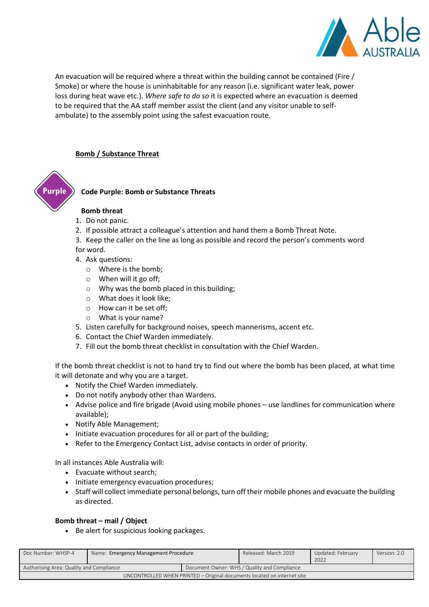

An evacuation will be required where a threat within the building cannot be contained (Fire / Smoke) or where the house is uninhabitable for any reason (i.e. significant water leak, power loss during heat wave etc.). *Where safe to do so* it is expected where an evacuation is deemed to be required that the AA staff member assist the client (and any visitor unable to selfambulate) to the assembly point using the safest evacuation route.

## **Bomb / Substance Threat**



## **Code Purple: Bomb or Substance Threats**

#### **Bomb threat**

- 1. Do not panic.
- 2. If possible attract a colleague's attention and hand them a Bomb Threat Note.
- 3. Keep the caller on the line as long as possible and record the person's comments word for word.
- 4. Ask questions:
	- o Where is the bomb;
	- o When will it go off;
	- o Why was the bomb placed in this building;
	- o What does it look like;
	- o How can it be set off;
	- o What is your name?
- 5. Listen carefully for background noises, speech mannerisms, accent etc.
- 6. Contact the Chief Warden immediately.
- 7. Fill out the bomb threat checklist in consultation with the Chief Warden.

If the bomb threat checklist is not to hand try to find out where the bomb has been placed, at what time it will detonate and why you are a target.

- Notify the Chief Warden immediately.
- Do not notify anybody other than Wardens.
- Advise police and fire brigade (Avoid using mobile phones use landlines for communication where available);
- Notify Able Management;
- Initiate evacuation procedures for all or part of the building;
- Refer to the Emergency Contact List, advise contacts in order of priority.

In all instances Able Australia will:

- Evacuate without search;
- Initiate emergency evacuation procedures;
- Staff will collect immediate personal belongs, turn off their mobile phones and evacuate the building as directed.

## **Bomb threat – mail / Object**

• Be alert for suspicious looking packages.

| Doc Number: WHSP-4                                                      | Name: Emergency Management Procedure |  | Released: March 2019                         | Updated: February<br>2022 | Version: 2.0 |
|-------------------------------------------------------------------------|--------------------------------------|--|----------------------------------------------|---------------------------|--------------|
| Authorising Area: Quality and Compliance                                |                                      |  | Document Owner: WHS / Quality and Compliance |                           |              |
| UNCONTROLLED WHEN PRINTED – Original documents located on internet site |                                      |  |                                              |                           |              |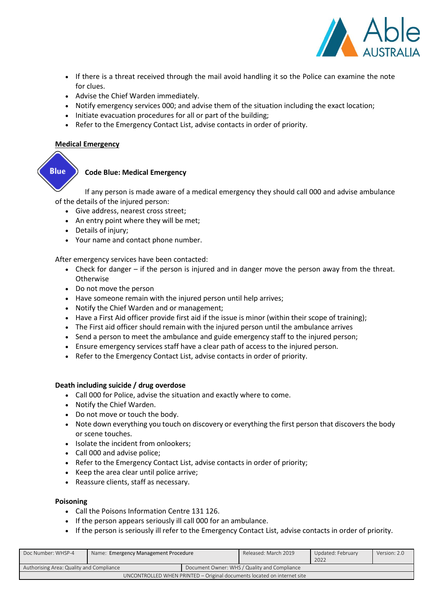

- If there is a threat received through the mail avoid handling it so the Police can examine the note for clues.
- Advise the Chief Warden immediately.
- Notify emergency services 000; and advise them of the situation including the exact location;
- Initiate evacuation procedures for all or part of the building;
- Refer to the Emergency Contact List, advise contacts in order of priority.

## **Medical Emergency**



# **Code Blue: Medical Emergency**

If any person is made aware of a medical emergency they should call 000 and advise ambulance of the details of the injured person:

- Give address, nearest cross street;
- An entry point where they will be met;
- Details of injury;
- Your name and contact phone number.

After emergency services have been contacted:

- Check for danger if the person is injured and in danger move the person away from the threat. **Otherwise**
- Do not move the person
- Have someone remain with the injured person until help arrives;
- Notify the Chief Warden and or management;
- Have a First Aid officer provide first aid if the issue is minor (within their scope of training);
- The First aid officer should remain with the injured person until the ambulance arrives
- Send a person to meet the ambulance and guide emergency staff to the injured person;
- Ensure emergency services staff have a clear path of access to the injured person.
- Refer to the Emergency Contact List, advise contacts in order of priority.

## **Death including suicide / drug overdose**

- Call 000 for Police, advise the situation and exactly where to come.
- Notify the Chief Warden.
- Do not move or touch the body.
- Note down everything you touch on discovery or everything the first person that discovers the body or scene touches.
- Isolate the incident from onlookers;
- Call 000 and advise police;
- Refer to the Emergency Contact List, advise contacts in order of priority;
- Keep the area clear until police arrive;
- Reassure clients, staff as necessary.

## **Poisoning**

- Call the Poisons Information Centre 131 126.
- If the person appears seriously ill call 000 for an ambulance.
- If the person is seriously ill refer to the Emergency Contact List, advise contacts in order of priority.

| Doc Number: WHSP-4                                                      | Name: Emergency Management Procedure |  | Released: March 2019                         | Updated: February<br>2022 | Version: 2.0 |
|-------------------------------------------------------------------------|--------------------------------------|--|----------------------------------------------|---------------------------|--------------|
| Authorising Area: Quality and Compliance                                |                                      |  | Document Owner: WHS / Quality and Compliance |                           |              |
| UNCONTROLLED WHEN PRINTED - Original documents located on internet site |                                      |  |                                              |                           |              |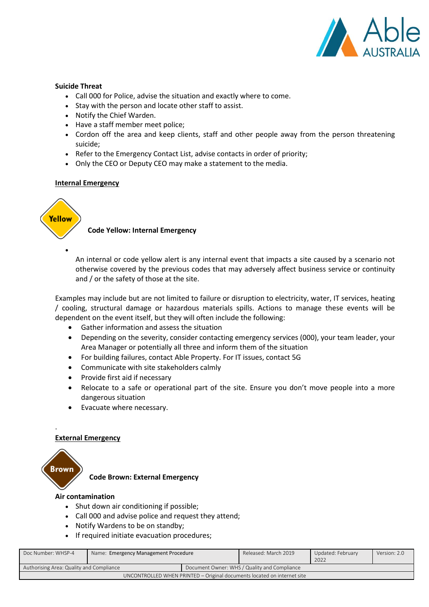

## **Suicide Threat**

- Call 000 for Police, advise the situation and exactly where to come.
- Stay with the person and locate other staff to assist.
- Notify the Chief Warden.
- Have a staff member meet police;
- Cordon off the area and keep clients, staff and other people away from the person threatening suicide;
- Refer to the Emergency Contact List, advise contacts in order of priority;
- Only the CEO or Deputy CEO may make a statement to the media.

#### **Internal Emergency**



•

## **Code Yellow: Internal Emergency**

An internal or code yellow alert is any internal event that impacts a site caused by a scenario not otherwise covered by the previous codes that may adversely affect business service or continuity and / or the safety of those at the site.

Examples may include but are not limited to failure or disruption to electricity, water, IT services, heating / cooling, structural damage or hazardous materials spills. Actions to manage these events will be dependent on the event itself, but they will often include the following:

- Gather information and assess the situation
- Depending on the severity, consider contacting emergency services (000), your team leader, your Area Manager or potentially all three and inform them of the situation
- For building failures, contact Able Property. For IT issues, contact 5G
- Communicate with site stakeholders calmly
- Provide first aid if necessary
- Relocate to a safe or operational part of the site. Ensure you don't move people into a more dangerous situation
- Evacuate where necessary.

#### **External Emergency**



.

**Code Brown: External Emergency**

#### **Air contamination**

- Shut down air conditioning if possible;
- Call 000 and advise police and request they attend;
- Notify Wardens to be on standby;
- If required initiate evacuation procedures;

| Doc Number: WHSP-4                                                      | Name: Emergency Management Procedure |  | Released: March 2019                         | Updated: February<br>2022 | Version: 2.0 |
|-------------------------------------------------------------------------|--------------------------------------|--|----------------------------------------------|---------------------------|--------------|
| Authorising Area: Quality and Compliance                                |                                      |  | Document Owner: WHS / Quality and Compliance |                           |              |
| UNCONTROLLED WHEN PRINTED – Original documents located on internet site |                                      |  |                                              |                           |              |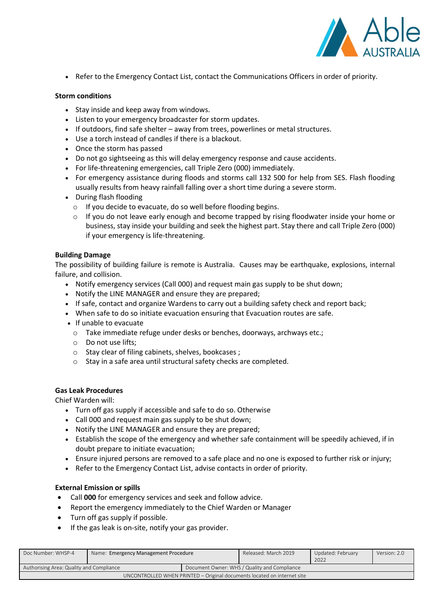

• Refer to the Emergency Contact List, contact the Communications Officers in order of priority.

## **Storm conditions**

- Stay inside and keep away from windows.
- Listen to your emergency broadcaster for storm updates.
- If outdoors, find safe shelter away from trees, powerlines or metal structures.
- Use a torch instead of candles if there is a blackout.
- Once the storm has passed
- Do not go sightseeing as this will delay emergency response and cause accidents.
- For life-threatening emergencies, call Triple Zero (000) immediately.
- For emergency assistance during floods and storms call 132 500 for help from SES. Flash flooding usually results from heavy rainfall falling over a short time during a severe storm.
- During flash flooding
	- o If you decide to evacuate, do so well before flooding begins.
	- $\circ$  If you do not leave early enough and become trapped by rising floodwater inside your home or business, stay inside your building and seek the highest part. Stay there and call Triple Zero (000) if your emergency is life-threatening.

## **Building Damage**

The possibility of building failure is remote is Australia. Causes may be earthquake, explosions, internal failure, and collision.

- Notify emergency services (Call 000) and request main gas supply to be shut down;
- Notify the LINE MANAGER and ensure they are prepared;
- If safe, contact and organize Wardens to carry out a building safety check and report back;
- When safe to do so initiate evacuation ensuring that Evacuation routes are safe.
- If unable to evacuate
	- o Take immediate refuge under desks or benches, doorways, archways etc.;
	- o Do not use lifts;
	- o Stay clear of filing cabinets, shelves, bookcases ;
	- o Stay in a safe area until structural safety checks are completed.

# **Gas Leak Procedures**

Chief Warden will:

- Turn off gas supply if accessible and safe to do so. Otherwise
- Call 000 and request main gas supply to be shut down;
- Notify the LINE MANAGER and ensure they are prepared;
- Establish the scope of the emergency and whether safe containment will be speedily achieved, if in doubt prepare to initiate evacuation;
- Ensure injured persons are removed to a safe place and no one is exposed to further risk or injury;
- Refer to the Emergency Contact List, advise contacts in order of priority.

## **External Emission or spills**

- Call **000** for emergency services and seek and follow advice.
- Report the emergency immediately to the Chief Warden or Manager
- Turn off gas supply if possible.
- If the gas leak is on-site, notify your gas provider.

| Doc Number: WHSP-4                                                      | Name: Emergency Management Procedure |  | Released: March 2019                         | Updated: February<br>2022 | Version: 2.0 |
|-------------------------------------------------------------------------|--------------------------------------|--|----------------------------------------------|---------------------------|--------------|
| Authorising Area: Quality and Compliance                                |                                      |  | Document Owner: WHS / Quality and Compliance |                           |              |
| UNCONTROLLED WHEN PRINTED – Original documents located on internet site |                                      |  |                                              |                           |              |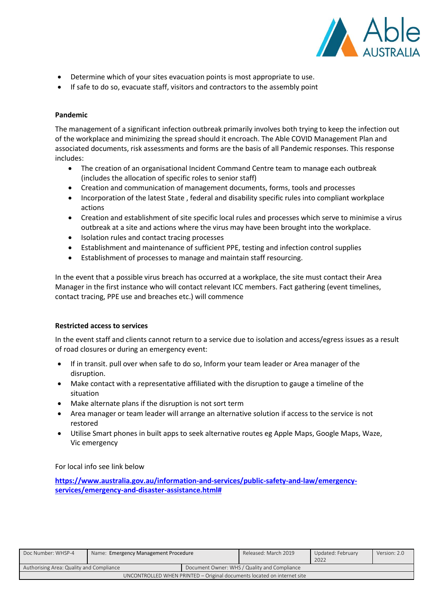

- Determine which of your sites evacuation points is most appropriate to use.
- If safe to do so, evacuate staff, visitors and contractors to the assembly point

#### **Pandemic**

The management of a significant infection outbreak primarily involves both trying to keep the infection out of the workplace and minimizing the spread should it encroach. The Able COVID Management Plan and associated documents, risk assessments and forms are the basis of all Pandemic responses. This response includes:

- The creation of an organisational Incident Command Centre team to manage each outbreak (includes the allocation of specific roles to senior staff)
- Creation and communication of management documents, forms, tools and processes
- Incorporation of the latest State , federal and disability specific rules into compliant workplace actions
- Creation and establishment of site specific local rules and processes which serve to minimise a virus outbreak at a site and actions where the virus may have been brought into the workplace.
- Isolation rules and contact tracing processes
- Establishment and maintenance of sufficient PPE, testing and infection control supplies
- Establishment of processes to manage and maintain staff resourcing.

In the event that a possible virus breach has occurred at a workplace, the site must contact their Area Manager in the first instance who will contact relevant ICC members. Fact gathering (event timelines, contact tracing, PPE use and breaches etc.) will commence

## **Restricted access to services**

In the event staff and clients cannot return to a service due to isolation and access/egress issues as a result of road closures or during an emergency event:

- If in transit. pull over when safe to do so, Inform your team leader or Area manager of the disruption.
- Make contact with a representative affiliated with the disruption to gauge a timeline of the situation
- Make alternate plans if the disruption is not sort term
- Area manager or team leader will arrange an alternative solution if access to the service is not restored
- Utilise Smart phones in built apps to seek alternative routes eg Apple Maps, Google Maps, Waze, Vic emergency

## For local info see link below

**[https://www.australia.gov.au/information-and-services/public-safety-and-law/emergency](https://www.australia.gov.au/information-and-services/public-safety-and-law/emergency-services/emergency-and-disaster-assistance.html)[services/emergency-and-disaster-assistance.html#](https://www.australia.gov.au/information-and-services/public-safety-and-law/emergency-services/emergency-and-disaster-assistance.html)**

| Doc Number: WHSP-4                                                      | Name: Emergency Management Procedure |  | Released: March 2019                         | Updated: February<br>2022 | Version: 2.0 |
|-------------------------------------------------------------------------|--------------------------------------|--|----------------------------------------------|---------------------------|--------------|
| Authorising Area: Quality and Compliance                                |                                      |  | Document Owner: WHS / Quality and Compliance |                           |              |
| UNCONTROLLED WHEN PRINTED – Original documents located on internet site |                                      |  |                                              |                           |              |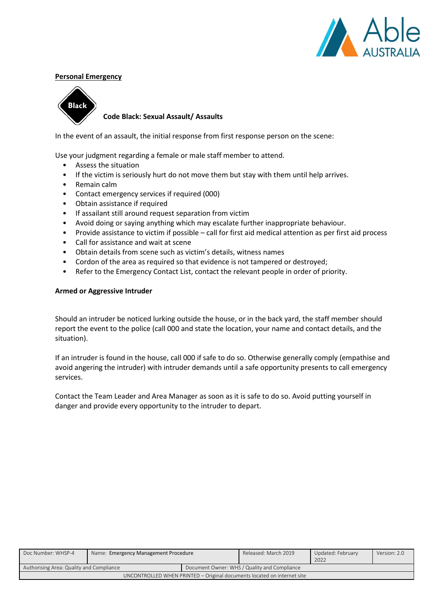

## **Personal Emergency**



## **Code Black: Sexual Assault/ Assaults**

In the event of an assault, the initial response from first response person on the scene:

Use your judgment regarding a female or male staff member to attend.

- Assess the situation
- If the victim is seriously hurt do not move them but stay with them until help arrives.
- Remain calm
- Contact emergency services if required (000)
- Obtain assistance if required
- If assailant still around request separation from victim
- Avoid doing or saying anything which may escalate further inappropriate behaviour.
- Provide assistance to victim if possible call for first aid medical attention as per first aid process
- Call for assistance and wait at scene
- Obtain details from scene such as victim's details, witness names
- Cordon of the area as required so that evidence is not tampered or destroyed;
- Refer to the Emergency Contact List, contact the relevant people in order of priority.

## **Armed or Aggressive Intruder**

Should an intruder be noticed lurking outside the house, or in the back yard, the staff member should report the event to the police (call 000 and state the location, your name and contact details, and the situation).

If an intruder is found in the house, call 000 if safe to do so. Otherwise generally comply (empathise and avoid angering the intruder) with intruder demands until a safe opportunity presents to call emergency services.

Contact the Team Leader and Area Manager as soon as it is safe to do so. Avoid putting yourself in danger and provide every opportunity to the intruder to depart.

| Doc Number: WHSP-4                                                      | Name: Emergency Management Procedure |  | Released: March 2019                         | Updated: February<br>2022 | Version: 2.0 |
|-------------------------------------------------------------------------|--------------------------------------|--|----------------------------------------------|---------------------------|--------------|
| Authorising Area: Quality and Compliance                                |                                      |  | Document Owner: WHS / Quality and Compliance |                           |              |
| UNCONTROLLED WHEN PRINTED - Original documents located on internet site |                                      |  |                                              |                           |              |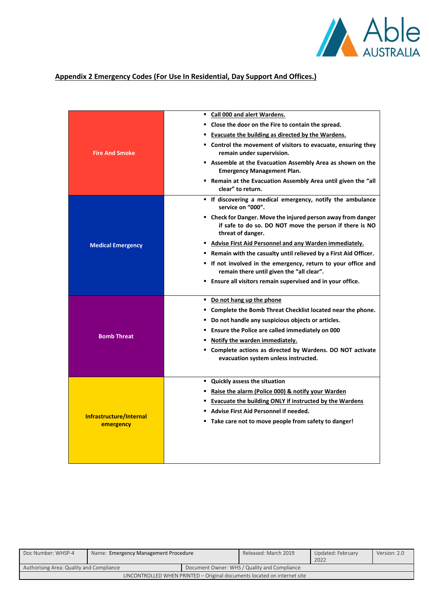

# **Appendix 2 Emergency Codes (For Use In Residential, Day Support And Offices.)**

|                                      | Call 000 and alert Wardens.<br>٠                                                                                                             |
|--------------------------------------|----------------------------------------------------------------------------------------------------------------------------------------------|
|                                      | " Close the door on the Fire to contain the spread.                                                                                          |
|                                      | " Evacuate the building as directed by the Wardens.                                                                                          |
| <b>Fire And Smoke</b>                | " Control the movement of visitors to evacuate, ensuring they<br>remain under supervision.                                                   |
|                                      | Assemble at the Evacuation Assembly Area as shown on the<br><b>Emergency Management Plan.</b>                                                |
|                                      | • Remain at the Evacuation Assembly Area until given the "all<br>clear" to return.                                                           |
| <b>Medical Emergency</b>             | " If discovering a medical emergency, notify the ambulance<br>service on "000".                                                              |
|                                      | " Check for Danger. Move the injured person away from danger<br>if safe to do so. DO NOT move the person if there is NO<br>threat of danger. |
|                                      | " Advise First Aid Personnel and any Warden immediately.                                                                                     |
|                                      | " Remain with the casualty until relieved by a First Aid Officer.                                                                            |
|                                      | " If not involved in the emergency, return to your office and<br>remain there until given the "all clear".                                   |
|                                      | " Ensure all visitors remain supervised and in your office.                                                                                  |
|                                      | " Do not hang up the phone                                                                                                                   |
|                                      | " Complete the Bomb Threat Checklist located near the phone.                                                                                 |
|                                      | " Do not handle any suspicious objects or articles.                                                                                          |
|                                      | " Ensure the Police are called immediately on 000                                                                                            |
| <b>Bomb Threat</b>                   | " Notify the warden immediately.                                                                                                             |
|                                      | " Complete actions as directed by Wardens. DO NOT activate<br>evacuation system unless instructed.                                           |
|                                      |                                                                                                                                              |
|                                      | " Quickly assess the situation                                                                                                               |
|                                      | ■ Raise the alarm (Police 000) & notify your Warden                                                                                          |
|                                      | <b>Evacuate the building ONLY if instructed by the Wardens</b>                                                                               |
| Infrastructure/Internal<br>emergency | " Advise First Aid Personnel if needed.                                                                                                      |
|                                      | " Take care not to move people from safety to danger!                                                                                        |
|                                      |                                                                                                                                              |
|                                      |                                                                                                                                              |

| Doc Number: WHSP-4                                                      | Name: Emergency Management Procedure |  | Released: March 2019                         | Updated: February | Version: 2.0 |
|-------------------------------------------------------------------------|--------------------------------------|--|----------------------------------------------|-------------------|--------------|
|                                                                         |                                      |  |                                              | 2022              |              |
| Authorising Area: Quality and Compliance                                |                                      |  | Document Owner: WHS / Quality and Compliance |                   |              |
| UNCONTROLLED WHEN PRINTED - Original documents located on internet site |                                      |  |                                              |                   |              |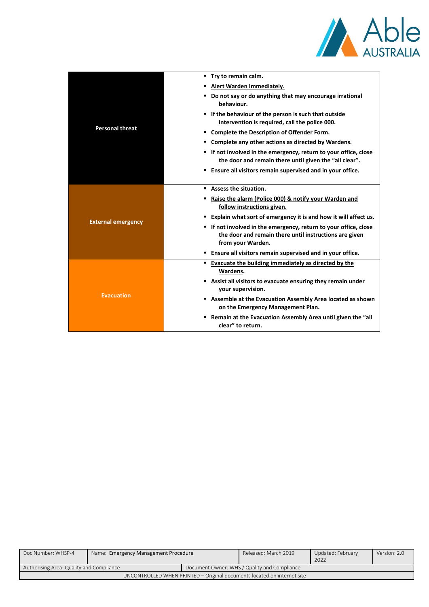

|                           | " Try to remain calm.                                                                                                                           |
|---------------------------|-------------------------------------------------------------------------------------------------------------------------------------------------|
|                           | Alert Warden Immediately.                                                                                                                       |
|                           | ■ Do not say or do anything that may encourage irrational<br>behaviour.                                                                         |
|                           | " If the behaviour of the person is such that outside<br>intervention is required, call the police 000.                                         |
| <b>Personal threat</b>    | " Complete the Description of Offender Form.                                                                                                    |
|                           | Complete any other actions as directed by Wardens.                                                                                              |
|                           | " If not involved in the emergency, return to your office, close<br>the door and remain there until given the "all clear".                      |
|                           | <b>Ensure all visitors remain supervised and in your office.</b>                                                                                |
|                           | Assess the situation.                                                                                                                           |
|                           | Raise the alarm (Police 000) & notify your Warden and<br>follow instructions given.                                                             |
|                           | " Explain what sort of emergency it is and how it will affect us.                                                                               |
| <b>External emergency</b> | " If not involved in the emergency, return to your office, close<br>the door and remain there until instructions are given<br>from your Warden. |
|                           | <b>Ensure all visitors remain supervised and in your office.</b>                                                                                |
|                           | " Evacuate the building immediately as directed by the<br>Wardens.                                                                              |
|                           | Assist all visitors to evacuate ensuring they remain under<br>your supervision.                                                                 |
| <b>Evacuation</b>         | Assemble at the Evacuation Assembly Area located as shown<br>on the Emergency Management Plan.                                                  |
|                           | " Remain at the Evacuation Assembly Area until given the "all<br>clear" to return.                                                              |

| Doc Number: WHSP-4                                                      | Name: Emergency Management Procedure |  | Released: March 2019                         | Updated: February<br>2022 | Version: 2.0 |
|-------------------------------------------------------------------------|--------------------------------------|--|----------------------------------------------|---------------------------|--------------|
| Authorising Area: Quality and Compliance                                |                                      |  | Document Owner: WHS / Quality and Compliance |                           |              |
| UNCONTROLLED WHEN PRINTED – Original documents located on internet site |                                      |  |                                              |                           |              |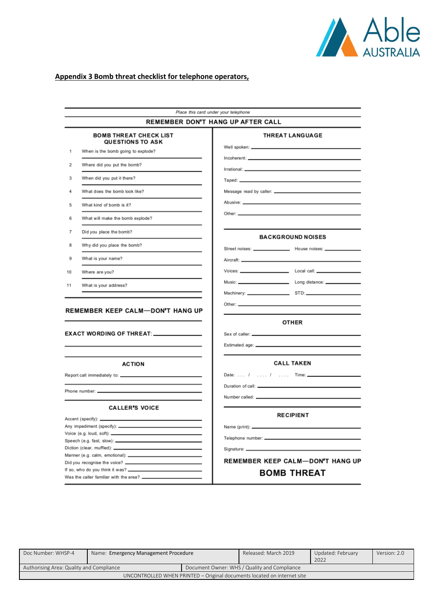

# **Appendix 3 Bomb threat checklist for telephone operators,**

|    | REMEMBER DON'T HANG UP AFTER CALL                        |                                                               |
|----|----------------------------------------------------------|---------------------------------------------------------------|
|    | <b>BOMB THREAT CHECK LIST</b><br><b>QUESTIONS TO ASK</b> | <b>THREAT LANGUAGE</b>                                        |
| 1  | When is the bomb going to explode?                       |                                                               |
| 2  | Where did you put the bomb?                              |                                                               |
| 3  | When did you put it there?                               |                                                               |
| 4  | What does the bomb look like?                            | Message read by caller: _____________                         |
| 5  | What kind of bomb is it?                                 |                                                               |
| 6  | What will make the bomb explode?                         |                                                               |
| 7  | Did you place the bomb?                                  |                                                               |
|    |                                                          | <b>BACKGROUND NOISES</b>                                      |
| 8  | Why did you place the bomb?                              | Street noises: _________________ House noises: ______________ |
| 9  | What is your name?                                       |                                                               |
| 10 | Where are you?                                           | Voices: Local call: Local call:                               |
| 11 | What is your address?                                    |                                                               |
|    |                                                          |                                                               |
|    |                                                          |                                                               |
|    | <b>REMEMBER KEEP CALM-DON'T HANG UP</b>                  | <b>OTHER</b>                                                  |
|    | EXACT WORDING OF THREAT: _______________                 |                                                               |
|    |                                                          | Estimated age: ______________                                 |
|    | <b>ACTION</b>                                            | <b>CALL TAKEN</b>                                             |
|    |                                                          |                                                               |
|    |                                                          |                                                               |
|    | Phone number: __                                         | Number called: _______________                                |
|    | <b>CALLER'S VOICE</b>                                    |                                                               |
|    | Accent (specify): __________                             | <b>RECIPIENT</b>                                              |
|    |                                                          |                                                               |
|    | Voice (e.g. loud, soft): ________________                |                                                               |
|    | Speech (e.g. fast, slow): ______________                 |                                                               |
|    | Diction (clear, muffled): ____                           |                                                               |
|    | Manner (e.g. calm, emotional): _______________________   | <b>REMEMBER KEEP CALM-DON'T HANG UP</b>                       |

| Doc Number: WHSP-4                                                      | Name: Emergency Management Procedure |  | Released: March 2019                         | Updated: February<br>2022 | Version: 2.0 |
|-------------------------------------------------------------------------|--------------------------------------|--|----------------------------------------------|---------------------------|--------------|
| Authorising Area: Quality and Compliance                                |                                      |  | Document Owner: WHS / Quality and Compliance |                           |              |
| UNCONTROLLED WHEN PRINTED - Original documents located on internet site |                                      |  |                                              |                           |              |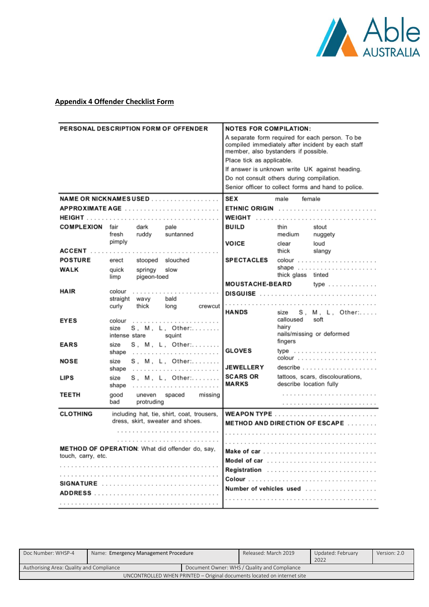

# **Appendix 4 Offender Checklist Form**

| <b>PERSONAL DESCRIPTION FORM OF OFFENDER</b> |               |                                | <b>NOTES FOR COMPILATION:</b><br>A separate form required for each person. To be<br>compiled immediately after incident by each staff<br>member, also bystanders if possible. |                                           |                         |                                                     |  |
|----------------------------------------------|---------------|--------------------------------|-------------------------------------------------------------------------------------------------------------------------------------------------------------------------------|-------------------------------------------|-------------------------|-----------------------------------------------------|--|
|                                              |               |                                |                                                                                                                                                                               |                                           |                         |                                                     |  |
|                                              |               |                                |                                                                                                                                                                               | Place tick as applicable.                 |                         |                                                     |  |
|                                              |               |                                |                                                                                                                                                                               |                                           |                         | If answer is unknown write UK against heading.      |  |
|                                              |               |                                |                                                                                                                                                                               | Do not consult others during compilation. |                         |                                                     |  |
|                                              |               |                                |                                                                                                                                                                               |                                           |                         | Senior officer to collect forms and hand to police. |  |
|                                              |               |                                | NAME OR NICKNAMESUSED                                                                                                                                                         | <b>SEX</b>                                | male                    | female                                              |  |
|                                              |               |                                |                                                                                                                                                                               |                                           |                         | ETHNIC ORIGIN                                       |  |
|                                              |               |                                |                                                                                                                                                                               |                                           |                         | <b>WEIGHT</b>                                       |  |
| <b>COMPLEXION</b>                            | fair          | dark                           | pale                                                                                                                                                                          | <b>BUILD</b>                              | thin                    | stout                                               |  |
|                                              | fresh         | ruddy                          | suntanned                                                                                                                                                                     |                                           | medium                  | nuggety                                             |  |
|                                              | pimply        |                                |                                                                                                                                                                               | <b>VOICE</b>                              | clear                   | loud                                                |  |
| <b>ACCENT</b>                                |               |                                |                                                                                                                                                                               |                                           | thick                   | slangy                                              |  |
| <b>POSTURE</b>                               | erect         | stooped slouched               |                                                                                                                                                                               | <b>SPECTACLES</b>                         |                         |                                                     |  |
| WALK                                         | quick<br>limp | springy<br>pigeon-toed         | slow                                                                                                                                                                          |                                           | thick glass tinted      | shape $\ldots \ldots \ldots \ldots \ldots \ldots$   |  |
|                                              |               |                                |                                                                                                                                                                               | <b>MOUSTACHE-BEARD</b>                    |                         | $type$                                              |  |
| <b>HAIR</b><br>colour<br>.                   |               |                                |                                                                                                                                                                               |                                           |                         |                                                     |  |
|                                              | curly         | straight wavy<br>bald<br>thick | long<br>crewcut                                                                                                                                                               |                                           |                         |                                                     |  |
|                                              |               |                                |                                                                                                                                                                               | <b>HANDS</b>                              | size                    | S, M, L, Other:                                     |  |
| <b>EYES</b>                                  | colour        |                                |                                                                                                                                                                               |                                           | calloused               | soft                                                |  |
|                                              | size          | intense stare                  | S, M, L, Other:                                                                                                                                                               |                                           | hairy                   | nails/missing or deformed                           |  |
|                                              |               |                                | squint                                                                                                                                                                        |                                           | fingers                 |                                                     |  |
| <b>EARS</b>                                  | size<br>shape |                                | S. M. L. Other:                                                                                                                                                               | <b>GLOVES</b>                             |                         | type $\ldots \ldots \ldots \ldots \ldots \ldots$    |  |
| <b>NOSE</b>                                  | size          |                                | S, M, L, Other:                                                                                                                                                               |                                           |                         | $\text{colour}$                                     |  |
|                                              | shape         |                                |                                                                                                                                                                               | <b>JEWELLERY</b>                          |                         |                                                     |  |
| <b>LIPS</b>                                  | size          |                                | S. M. L. Other:                                                                                                                                                               | <b>SCARS OR</b>                           |                         | tattoos, scars, discolourations,                    |  |
|                                              | shape         |                                |                                                                                                                                                                               | <b>MARKS</b>                              | describe location fully |                                                     |  |
| TEETH                                        | good          | uneven spaced                  | missing                                                                                                                                                                       |                                           |                         |                                                     |  |
|                                              | bad           | protruding                     |                                                                                                                                                                               |                                           |                         |                                                     |  |
| <b>CLOTHING</b>                              |               |                                | including hat, tie, shirt, coat, trousers,                                                                                                                                    |                                           |                         |                                                     |  |
|                                              |               |                                | dress, skirt, sweater and shoes.                                                                                                                                              |                                           |                         | <b>METHOD AND DIRECTION OF ESCAPE </b>              |  |
|                                              |               | .                              |                                                                                                                                                                               |                                           |                         |                                                     |  |
|                                              |               |                                |                                                                                                                                                                               |                                           |                         |                                                     |  |
| touch, carry, etc.                           |               |                                | METHOD OF OPERATION: What did offender do, say,                                                                                                                               | Model of car                              |                         |                                                     |  |
|                                              |               |                                |                                                                                                                                                                               |                                           |                         |                                                     |  |
|                                              |               |                                |                                                                                                                                                                               |                                           |                         | Registration                                        |  |
|                                              |               |                                | SIGNATURE                                                                                                                                                                     |                                           |                         |                                                     |  |
|                                              |               |                                |                                                                                                                                                                               |                                           |                         | Number of vehicles used                             |  |
|                                              |               |                                |                                                                                                                                                                               |                                           |                         |                                                     |  |

| Doc Number: WHSP-4                                                      | Name: Emergency Management Procedure |  | Released: March 2019                         | Updated: February<br>2022 | Version: 2.0 |
|-------------------------------------------------------------------------|--------------------------------------|--|----------------------------------------------|---------------------------|--------------|
| Authorising Area: Quality and Compliance                                |                                      |  | Document Owner: WHS / Quality and Compliance |                           |              |
| UNCONTROLLED WHEN PRINTED – Original documents located on internet site |                                      |  |                                              |                           |              |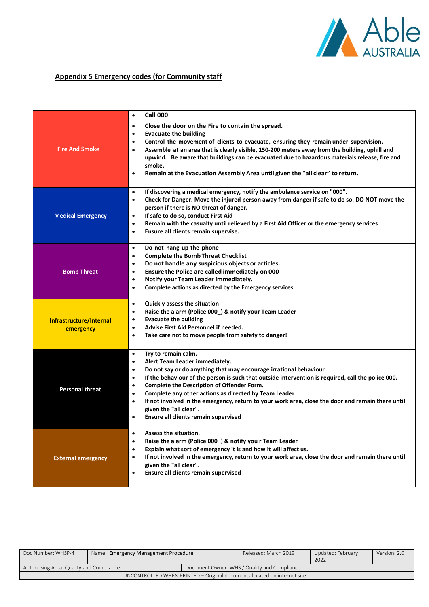

# **Appendix 5 Emergency codes (for Community staff**

| <b>Fire And Smoke</b>                | <b>Call 000</b><br>$\bullet$<br>Close the door on the Fire to contain the spread.<br>$\bullet$<br><b>Evacuate the building</b><br>$\bullet$<br>Control the movement of clients to evacuate, ensuring they remain under supervision.<br>$\bullet$<br>Assemble at an area that is clearly visible, 150-200 meters away from the building, uphill and<br>$\bullet$<br>upwind. Be aware that buildings can be evacuated due to hazardous materials release, fire and<br>smoke.<br>Remain at the Evacuation Assembly Area until given the "all clear" to return.<br>$\bullet$                               |
|--------------------------------------|--------------------------------------------------------------------------------------------------------------------------------------------------------------------------------------------------------------------------------------------------------------------------------------------------------------------------------------------------------------------------------------------------------------------------------------------------------------------------------------------------------------------------------------------------------------------------------------------------------|
| <b>Medical Emergency</b>             | If discovering a medical emergency, notify the ambulance service on "000".<br>$\bullet$<br>Check for Danger. Move the injured person away from danger if safe to do so. DO NOT move the<br>$\bullet$<br>person if there is NO threat of danger.<br>If safe to do so, conduct First Aid<br>$\bullet$<br>Remain with the casualty until relieved by a First Aid Officer or the emergency services<br>$\bullet$<br>Ensure all clients remain supervise.<br>$\bullet$                                                                                                                                      |
| <b>Bomb Threat</b>                   | Do not hang up the phone<br>$\bullet$<br><b>Complete the Bomb Threat Checklist</b><br>$\bullet$<br>Do not handle any suspicious objects or articles.<br>$\bullet$<br>Ensure the Police are called immediately on 000<br>$\bullet$<br>Notify your Team Leader immediately.<br>$\bullet$<br>Complete actions as directed by the Emergency services<br>$\bullet$                                                                                                                                                                                                                                          |
| Infrastructure/Internal<br>emergency | Quickly assess the situation<br>$\bullet$<br>Raise the alarm (Police 000_) & notify your Team Leader<br>$\bullet$<br><b>Evacuate the building</b><br>$\bullet$<br>Advise First Aid Personnel if needed.<br>$\bullet$<br>Take care not to move people from safety to danger!<br>$\bullet$                                                                                                                                                                                                                                                                                                               |
| <b>Personal threat</b>               | Try to remain calm.<br>$\bullet$<br>Alert Team Leader immediately.<br>٠<br>Do not say or do anything that may encourage irrational behaviour<br>$\bullet$<br>If the behaviour of the person is such that outside intervention is required, call the police 000.<br>$\bullet$<br>Complete the Description of Offender Form.<br>$\bullet$<br>Complete any other actions as directed by Team Leader<br>$\bullet$<br>If not involved in the emergency, return to your work area, close the door and remain there until<br>$\bullet$<br>given the "all clear".<br>Ensure all clients remain supervised<br>٠ |
| <b>External emergency</b>            | Assess the situation.<br>$\bullet$<br>Raise the alarm (Police 000_) & notify you r Team Leader<br>$\bullet$<br>Explain what sort of emergency it is and how it will affect us.<br>$\bullet$<br>If not involved in the emergency, return to your work area, close the door and remain there until<br>$\bullet$<br>given the "all clear".<br>Ensure all clients remain supervised<br>$\bullet$                                                                                                                                                                                                           |

| Doc Number: WHSP-4                       | Name: Emergency Management Procedure                                    |  | Released: March 2019                         | Updated: February<br>2022 | Version: 2.0 |
|------------------------------------------|-------------------------------------------------------------------------|--|----------------------------------------------|---------------------------|--------------|
| Authorising Area: Quality and Compliance |                                                                         |  | Document Owner: WHS / Quality and Compliance |                           |              |
|                                          | UNCONTROLLED WHEN PRINTED – Original documents located on internet site |  |                                              |                           |              |